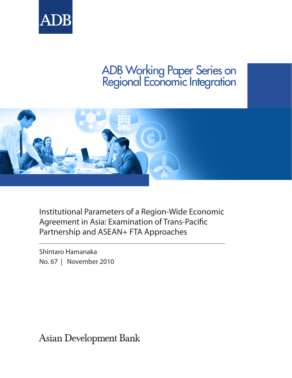

# ADB Working Paper Series on Regional Economic Integration



Institutional Parameters of a Region-Wide Economic Agreement in Asia: Examination of Trans-Pacific Partnership and ASEAN+ FTA Approaches

Shintaro Hamanaka No. 67 | November 2010

**Asian Development Bank**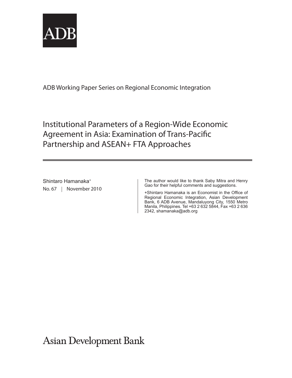

ADB Working Paper Series on Regional Economic Integration

Institutional Parameters of a Region-Wide Economic Agreement in Asia: Examination of Trans-Pacific Partnership and ASEAN+ FTA Approaches

Shintaro Hamanaka+ No. 67 | November 2010 The author would like to thank Saby Mitra and Henry Gao for their helpful comments and suggestions.

+Shintaro Hamanaka is an Economist in the Office of Regional Economic Integration, Asian Development Bank, 6 ADB Avenue, Mandaluyong City, 1550 Metro Manila, Philippines. Tel +63 2 632 5844, Fax +63 2 636 2342, shamanaka@adb.org

**Asian Development Bank**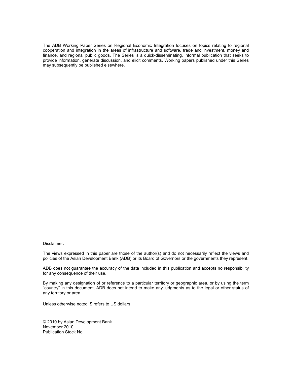The ADB Working Paper Series on Regional Economic Integration focuses on topics relating to regional cooperation and integration in the areas of infrastructure and software, trade and investment, money and finance, and regional public goods. The Series is a quick-disseminating, informal publication that seeks to provide information, generate discussion, and elicit comments. Working papers published under this Series may subsequently be published elsewhere.

#### Disclaimer:

The views expressed in this paper are those of the author(s) and do not necessarily reflect the views and policies of the Asian Development Bank (ADB) or its Board of Governors or the governments they represent.

ADB does not guarantee the accuracy of the data included in this publication and accepts no responsibility for any consequence of their use.

By making any designation of or reference to a particular territory or geographic area, or by using the term "country" in this document, ADB does not intend to make any judgments as to the legal or other status of any territory or area.

Unless otherwise noted, \$ refers to US dollars.

© 2010 by Asian Development Bank November 2010 Publication Stock No.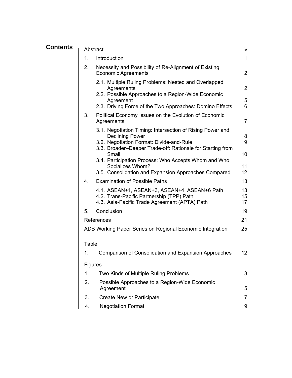| <b>Contents</b> | Abstract                                                        |                                                                                                                             | iv             |
|-----------------|-----------------------------------------------------------------|-----------------------------------------------------------------------------------------------------------------------------|----------------|
|                 | 1.                                                              | Introduction                                                                                                                | $\mathbf{1}$   |
|                 | 2.                                                              | Necessity and Possibility of Re-Alignment of Existing<br><b>Economic Agreements</b>                                         | $\overline{2}$ |
|                 |                                                                 | 2.1. Multiple Ruling Problems: Nested and Overlapped<br>Agreements                                                          | $\overline{2}$ |
|                 |                                                                 | 2.2. Possible Approaches to a Region-Wide Economic<br>Agreement<br>2.3. Driving Force of the Two Approaches: Domino Effects | 5<br>6         |
|                 | 3.                                                              | Political Economy Issues on the Evolution of Economic<br>Agreements                                                         | $\overline{7}$ |
|                 |                                                                 | 3.1. Negotiation Timing: Intersection of Rising Power and<br><b>Declining Power</b>                                         | 8              |
|                 |                                                                 | 3.2. Negotiation Format: Divide-and-Rule<br>3.3. Broader-Deeper Trade-off: Rationale for Starting from<br>Small             | 9<br>10        |
|                 |                                                                 | 3.4. Participation Process: Who Accepts Whom and Who<br>Socializes Whom?                                                    | 11             |
|                 | 4.                                                              | 3.5. Consolidation and Expansion Approaches Compared<br><b>Examination of Possible Paths</b>                                | 12<br>13       |
|                 |                                                                 | 4.1. ASEAN+1, ASEAN+3, ASEAN+4, ASEAN+6 Path                                                                                | 13             |
|                 |                                                                 | 4.2. Trans-Pacific Partnership (TPP) Path<br>4.3. Asia-Pacific Trade Agreement (APTA) Path                                  | 15<br>17       |
|                 | 5.                                                              | Conclusion                                                                                                                  | 19             |
|                 |                                                                 | References                                                                                                                  | 21             |
|                 | 25<br>ADB Working Paper Series on Regional Economic Integration |                                                                                                                             |                |
|                 | Table                                                           |                                                                                                                             |                |
|                 | 1.                                                              | <b>Comparison of Consolidation and Expansion Approaches</b>                                                                 | 12             |
|                 | <b>Figures</b>                                                  |                                                                                                                             |                |
|                 | 1.                                                              | Two Kinds of Multiple Ruling Problems                                                                                       | 3              |
|                 | 2.                                                              | Possible Approaches to a Region-Wide Economic<br>Agreement                                                                  | 5              |
|                 | 3.                                                              | Create New or Participate                                                                                                   | 7              |
|                 | 4.                                                              | <b>Negotiation Format</b>                                                                                                   | 9              |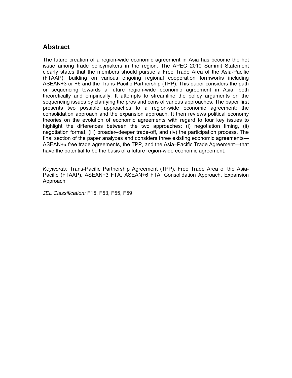# **Abstract**

The future creation of a region-wide economic agreement in Asia has become the hot issue among trade policymakers in the region. The APEC 2010 Summit Statement clearly states that the members should pursue a Free Trade Area of the Asia-Pacific (FTAAP), building on various ongoing regional cooperation formworks including ASEAN+3 or +6 and the Trans-Pacific Partnership (TPP). This paper considers the path or sequencing towards a future region-wide economic agreement in Asia, both theoretically and empirically. It attempts to streamline the policy arguments on the sequencing issues by clarifying the pros and cons of various approaches. The paper first presents two possible approaches to a region-wide economic agreement: the consolidation approach and the expansion approach. It then reviews political economy theories on the evolution of economic agreements with regard to four key issues to highlight the differences between the two approaches: (i) negotiation timing, (ii) negotiation format, (iii) broader–deeper trade-off, and (iv) the participation process. The final section of the paper analyzes and considers three existing economic agreements—  $ASEAN+a$  free trade agreements, the TPP, and the Asia–Pacific Trade Agreement—that have the potential to be the basis of a future region-wide economic agreement.

*Keywords:* Trans-Pacific Partnership Agreement (TPP), Free Trade Area of the Asia-Pacific (FTAAP), ASEAN+3 FTA, ASEAN+6 FTA, Consolidation Approach, Expansion Approach

*JEL Classification:* F15, F53, F55, F59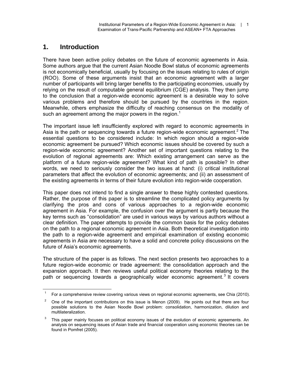# **1. Introduction**

 $\overline{a}$ 

There have been active policy debates on the future of economic agreements in Asia. Some authors argue that the current Asian Noodle Bowl status of economic agreements is not economically beneficial, usually by focusing on the issues relating to rules of origin (ROO). Some of these arguments insist that an economic agreement with a larger number of participants will bring larger benefits to the participating economies, usually by relying on the result of computable general equilibrium (CGE) analysis. They then jump to the conclusion that a region-wide economic agreement is a desirable way to solve various problems and therefore should be pursued by the countries in the region. Meanwhile, others emphasize the difficulty of reaching consensus on the modality of such an agreement among the major powers in the region.<sup>1</sup>

The important issue left insufficiently explored with regard to economic agreements in Asia is the path or sequencing towards a future region-wide economic agreement.<sup>2</sup> The essential questions to be considered include: In which region should a region-wide economic agreement be pursued? Which economic issues should be covered by such a region-wide economic agreement? Another set of important questions relating to the evolution of regional agreements are: Which existing arrangement can serve as the platform of a future region-wide agreement? What kind of path is possible? In other words, we need to seriously consider the two issues at hand: (i) critical institutional parameters that affect the evolution of economic agreements; and (ii) an assessment of the existing agreements in terms of their future evolution into region-wide cooperation.

This paper does not intend to find a single answer to these highly contested questions. Rather, the purpose of this paper is to streamline the complicated policy arguments by clarifying the pros and cons of various approaches to a region-wide economic agreement in Asia. For example, the confusion over the argument is partly because the key terms such as "consolidation" are used in various ways by various authors without a clear definition. The paper attempts to provide the common basis for the policy debates on the path to a regional economic agreement in Asia. Both theoretical investigation into the path to a region-wide agreement and empirical examination of existing economic agreements in Asia are necessary to have a solid and concrete policy discussions on the future of Asia's economic agreements.

The structure of the paper is as follows. The next section presents two approaches to a future region-wide economic or trade agreement: the consolidation approach and the expansion approach. It then reviews useful political economy theories relating to the path or sequencing towards a geographically wider economic agreement.<sup>3</sup> It covers

<sup>1</sup> For a comprehensive review covering various views on regional economic agreements, see Chia (2010).

<sup>2</sup> One of the important contributions on this issue is Menon (2009). He points out that there are four possible solutions to the Asian Noodle Bowl problem: consolidation, harmonization, dilution and multilateralization.

<sup>3</sup> This paper mainly focuses on political economy issues of the evolution of economic agreements. An analysis on sequencing issues of Asian trade and financial cooperation using economic theories can be found in Pomfret (2005).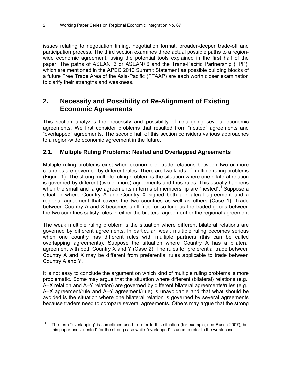issues relating to negotiation timing, negotiation format, broader-deeper trade-off and participation process. The third section examines three actual possible paths to a regionwide economic agreement, using the potential tools explained in the first half of the paper. The paths of ASEAN+3 or ASEAN+6 and the Trans-Pacific Partnership (TPP), which are mentioned in the APEC 2010 Summit Statement as possible building blocks of a future Free Trade Area of the Asia-Pacific (FTAAP) are each worth closer examination to clarify their strengths and weakness.

# **2. Necessity and Possibility of Re-Alignment of Existing Economic Agreements**

This section analyzes the necessity and possibility of re-aligning several economic agreements. We first consider problems that resulted from "nested" agreements and "overlapped" agreements. The second half of this section considers various approaches to a region-wide economic agreement in the future.

## **2.1. Multiple Ruling Problems: Nested and Overlapped Agreements**

Multiple ruling problems exist when economic or trade relations between two or more countries are governed by different rules. There are two kinds of multiple ruling problems (Figure 1). The strong multiple ruling problem is the situation where one bilateral relation is governed by different (two or more) agreements and thus rules. This usually happens when the small and large agreements in terms of membership are "nested".<sup>4</sup> Suppose a situation where Country A and Country X signed both a bilateral agreement and a regional agreement that covers the two countries as well as others (Case 1). Trade between Country A and X becomes tariff free for so long as the traded goods between the two countries satisfy rules in either the bilateral agreement or the regional agreement.

The weak multiple ruling problem is the situation where different bilateral relations are governed by different agreements. In particular, weak multiple ruling becomes serious when one country has different rules with multiple partners (this can be called overlapping agreements). Suppose the situation where Country A has a bilateral agreement with both Country X and Y (Case 2). The rules for preferential trade between Country A and X may be different from preferential rules applicable to trade between Country A and Y.

It is not easy to conclude the argument on which kind of multiple ruling problems is more problematic. Some may argue that the situation where different (bilateral) relations (e.g., A–X relation and A–Y relation) are governed by different bilateral agreements/rules (e.g., A–X agreement/rule and A–Y agreement/rule) is unavoidable and that what should be avoided is the situation where one bilateral relation is governed by several agreements because traders need to compare several agreements. Others may argue that the strong

 $\overline{a}$ 4 The term "overlapping" is sometimes used to refer to this situation (for example, see Busch 2007), but this paper uses "nested" for the strong case while "overlapped" is used to refer to the weak case.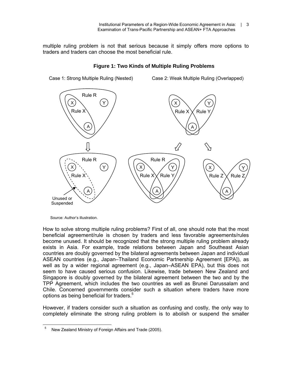multiple ruling problem is not that serious because it simply offers more options to traders and traders can choose the most beneficial rule.



#### **Figure 1: Two Kinds of Multiple Ruling Problems**

Source: Author's illustration.

How to solve strong multiple ruling problems? First of all, one should note that the most beneficial agreement/rule is chosen by traders and less favorable agreements/rules become unused. It should be recognized that the strong multiple ruling problem already exists in Asia. For example, trade relations between Japan and Southeast Asian countries are doubly governed by the bilateral agreements between Japan and individual ASEAN countries (e.g., Japan–Thailand Economic Partnership Agreement [EPA]), as well as by a wider regional agreement (e.g., Japan–ASEAN EPA), but this does not seem to have caused serious confusion. Likewise, trade between New Zealand and Singapore is doubly governed by the bilateral agreement between the two and by the TPP Agreement, which includes the two countries as well as Brunei Darussalam and Chile. Concerned governments consider such a situation where traders have more options as being beneficial for traders.<sup>5</sup>

However, if traders consider such a situation as confusing and costly, the only way to completely eliminate the strong ruling problem is to abolish or suspend the smaller

 5 New Zealand Ministry of Foreign Affairs and Trade (2005).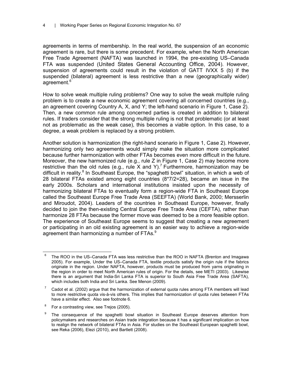agreements in terms of membership. In the real world, the suspension of an economic agreement is rare, but there is some precedent. For example, when the North American Free Trade Agreement (NAFTA) was launched in 1994, the pre-existing US–Canada FTA was suspended (United States General Accounting Office, 2004). However, suspension of agreements could result in the violation of GATT IVXX 5 (b) if the suspended (bilateral) agreement is less restrictive than a new (geographically wider) agreement.<sup>6</sup>

How to solve weak multiple ruling problems? One way to solve the weak multiple ruling problem is to create a new economic agreement covering all concerned countries (e.g., an agreement covering Country A, X, and Y; the left-hand scenario in Figure 1, Case 2). Then, a new common rule among concerned parties is created in addition to bilateral rules. If traders consider that the strong multiple ruling is not that problematic (or at least not as problematic as the weak case), this becomes a viable option. In this case, to a degree, a weak problem is replaced by a strong problem.

Another solution is harmonization (the right-hand scenario in Figure 1, Case 2). However, harmonizing only two agreements would simply make the situation more complicated because further harmonization with other FTAs becomes even more difficult in the future. Moreover, the new harmonized rule (e.g., rule Z in Figure 1, Case 2) may become more restrictive than the old rules (e.g., rule X and Y).<sup>7</sup> Furthermore, harmonization may be difficult in reality.<sup>8</sup> In Southeast Europe, the "spaghetti bowl" situation, in which a web of 28 bilateral FTAs existed among eight countries (8\*7/2=28), became an issue in the early 2000s. Scholars and international institutions insisted upon the necessity of harmonizing bilateral FTAs to eventually form a region-wide FTA in Southeast Europe called the Southeast Europe Free Trade Area (SEEFTA) (World Bank, 2000; Mersserlin and Miroudot, 2004). Leaders of the countries in Southeast Europe, however, finally decided to join the then-existing Central Europe Free Trade Area (CEFTA), rather than harmonize 28 FTAs because the former move was deemed to be a more feasible option. The experience of Southeast Europe seems to suggest that creating a new agreement or participating in an old existing agreement is an easier way to achieve a region-wide agreement than harmonizing a number of FTAs. $9$ 

 $\overline{a}$ 6 The ROO in the US–Canada FTA was less restrictive than the ROO in NAFTA (Brenton and Imagawa 2005). For example, Under the US–Canada FTA, textile products satisfy the origin rule if the fabrics originate in the region. Under NAFTA, however, products must be produced from yarns originating in the region in order to meet North American rules of origin. For the details, see METI (2003). Likewise there is an argument that India-Sri Lanka FTA is superior to South Asia Free Trade Area (SAFTA), which includes both India and Sri Lanka. See Menon (2009).

<sup>7</sup> Cadot et al. (2002) argue that the harmonization of external quota rules among FTA members will lead to more restrictive quota vis-à-vis others. This implies that harmonization of quota rules between FTAs have a similar effect. Also see footnote 6.

<sup>8</sup> For a contrasting view, see Trejos (2005).

<sup>9</sup> The consequence of the spaghetti bowl situation in Southeast Europe deserves attention from policymakers and researches on Asian trade integration because it has a significant implication on how to realign the network of bilateral FTAs in Asia. For studies on the Southeast European spaghetti bowl, see Reka (2006), Elezi (2010), and Bartlett (2008).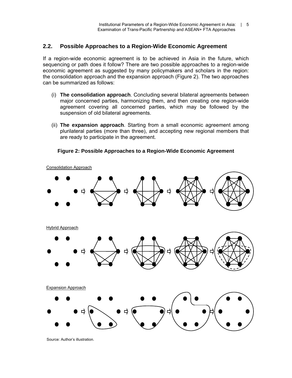#### **2.2. Possible Approaches to a Region-Wide Economic Agreement**

If a region-wide economic agreement is to be achieved in Asia in the future, which sequencing or path does it follow? There are two possible approaches to a region-wide economic agreement as suggested by many policymakers and scholars in the region: the consolidation approach and the expansion approach (Figure 2). The two approaches can be summarized as follows:

- (i) **The consolidation approach**. Concluding several bilateral agreements between major concerned parties, harmonizing them, and then creating one region-wide agreement covering all concerned parties, which may be followed by the suspension of old bilateral agreements.
- (ii) **The expansion approach**. Starting from a small economic agreement among plurilateral parties (more than three), and accepting new regional members that are ready to participate in the agreement.



**Figure 2: Possible Approaches to a Region-Wide Economic Agreement** 

Source: Author's illustration.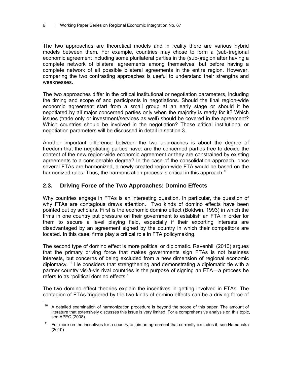The two approaches are theoretical models and in reality there are various hybrid models between them. For example, countries may chose to form a (sub-)regional economic agreement including some plurilateral parties in the (sub-)region after having a complete network of bilateral agreements among themselves, but before having a complete network of all possible bilateral agreements in the entire region. However, comparing the two contrasting approaches is useful to understand their strengths and weaknesses.

The two approaches differ in the critical institutional or negotiation parameters, including the timing and scope of and participants in negotiations. Should the final region-wide economic agreement start from a small group at an early stage or should it be negotiated by all major concerned parties only when the majority is ready for it? Which issues (trade only or investment/services as well) should be covered in the agreement? Which countries should be involved in the negotiation? Those critical institutional or negotiation parameters will be discussed in detail in section 3.

Another important difference between the two approaches is about the degree of freedom that the negotiating parties have: are the concerned parties free to decide the content of the new region-wide economic agreement or they are constrained by existing agreements to a considerable degree? In the case of the consolidation approach, once several FTAs are harmonized, a newly created region-wide FTA would be based on the harmonized rules. Thus, the harmonization process is critical in this approach.<sup>10</sup>

#### **2.3. Driving Force of the Two Approaches: Domino Effects**

Why countries engage in FTAs is an interesting question. In particular, the question of why FTAs are contagious draws attention. Two kinds of domino effects have been pointed out by scholars. First is the economic domino effect (Boldwin, 1993) in which the firms in one country put pressure on their government to establish an FTA in order for them to secure a level playing field, especially if their exporting interests are disadvantaged by an agreement signed by the country in which their competitors are located. In this case, firms play a critical role in FTA policymaking.

The second type of domino effect is more political or diplomatic. Ravenhill (2010) argues that the primary driving force that makes governments sign FTAs is not business interests, but concerns of being excluded from a new dimension of regional economic diplomacy. <sup>11</sup> He considers that strengthening and demonstrating a diplomatic tie with a partner country vis-à-vis rival countries is the purpose of signing an FTA—a process he refers to as "political domino effects."

The two domino effect theories explain the incentives in getting involved in FTAs. The contagion of FTAs triggered by the two kinds of domino effects can be a driving force of

 $10\,$ A detailed examination of harmonization procedure is beyond the scope of this paper. The amount of literature that extensively discusses this issue is very limited. For a comprehensive analysis on this topic, see APEC (2008).

 $11$  For more on the incentives for a country to join an agreement that currently excludes it, see Hamanaka (2010).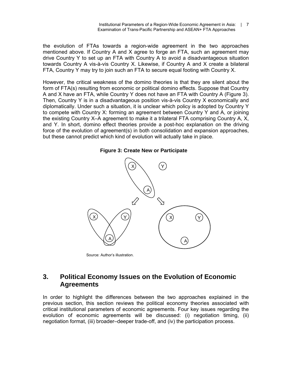the evolution of FTAs towards a region-wide agreement in the two approaches mentioned above. If Country A and X agree to forge an FTA, such an agreement may drive Country Y to set up an FTA with Country A to avoid a disadvantageous situation towards Country A vis-à-vis Country X. Likewise, if Country A and X create a bilateral FTA, Country Y may try to join such an FTA to secure equal footing with Country X.

However, the critical weakness of the domino theories is that they are silent about the form of FTA(s) resulting from economic or political domino effects. Suppose that Country A and X have an FTA, while Country Y does not have an FTA with Country A (Figure 3). Then, Country Y is in a disadvantageous position vis-à-vis Country X economically and diplomatically. Under such a situation, it is unclear which policy is adopted by Country Y to compete with Country X: forming an agreement between Country Y and A, or joining the existing Country X–A agreement to make it a trilateral FTA comprising Country A, X, and Y. In short, domino effect theories provide a post-hoc explanation on the driving force of the evolution of agreement(s) in both consolidation and expansion approaches, but these cannot predict which kind of evolution will actually take in place.

#### **Figure 3: Create New or Participate**



Source: Author's illustration.

# **3. Political Economy Issues on the Evolution of Economic Agreements**

In order to highlight the differences between the two approaches explained in the previous section, this section reviews the political economy theories associated with critical institutional parameters of economic agreements. Four key issues regarding the evolution of economic agreements will be discussed: (i) negotiation timing, (ii) negotiation format, (iii) broader–deeper trade-off, and (iv) the participation process.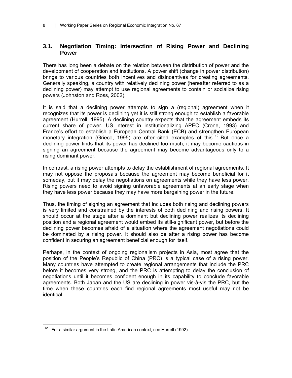### **3.1. Negotiation Timing: Intersection of Rising Power and Declining Power**

There has long been a debate on the relation between the distribution of power and the development of cooperation and institutions. A power shift (change in power distribution) brings to various countries both incentives and disincentives for creating agreements. Generally speaking, a country with relatively declining power (hereafter referred to as a declining power) may attempt to use regional agreements to contain or socialize rising powers (Johnston and Ross, 2002).

It is said that a declining power attempts to sign a (regional) agreement when it recognizes that its power is declining yet it is still strong enough to establish a favorable agreement (Hurrell, 1995). A declining country expects that the agreement embeds its current share of power. US interest in institutionalizing APEC (Crone, 1993) and France's effort to establish a European Central Bank (ECB) and strengthen European monetary integration (Grieco, 1995) are often-cited examples of this.<sup>12</sup> But once a declining power finds that its power has declined too much, it may become cautious in signing an agreement because the agreement may become advantageous only to a rising dominant power.

In contrast, a rising power attempts to delay the establishment of regional agreements. It may not oppose the proposals because the agreement may become beneficial for it someday, but it may delay the negotiations on agreements while they have less power. Rising powers need to avoid signing unfavorable agreements at an early stage when they have less power because they may have more bargaining power in the future.

Thus, the timing of signing an agreement that includes both rising and declining powers is very limited and constrained by the interests of both declining and rising powers. It should occur at the stage after a dominant but declining power realizes its declining position and a regional agreement would embed its still-significant power, but before the declining power becomes afraid of a situation where the agreement negotiations could be dominated by a rising power. It should also be after a rising power has become confident in securing an agreement beneficial enough for itself.

Perhaps, in the context of ongoing regionalism projects in Asia, most agree that the position of the People's Republic of China (PRC) is a typical case of a rising power. Many countries have attempted to create regional arrangements that include the PRC before it becomes very strong, and the PRC is attempting to delay the conclusion of negotiations until it becomes confident enough in its capability to conclude favorable agreements. Both Japan and the US are declining in power vis-à-vis the PRC, but the time when these countries each find regional agreements most useful may not be identical.

 $\overline{a}$  $12$  For a similar argument in the Latin American context, see Hurrell (1992).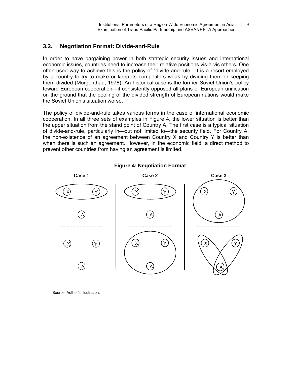## **3.2. Negotiation Format: Divide-and-Rule**

In order to have bargaining power in both strategic security issues and international economic issues, countries need to increase their relative positions vis-à-vis others. One often-used way to achieve this is the policy of "divide-and-rule." It is a resort employed by a country to try to make or keep its competitors weak by dividing them or keeping them divided (Morgenthau, 1978). An historical case is the former Soviet Union's policy toward European cooperation—it consistently opposed all plans of European unification on the ground that the pooling of the divided strength of European nations would make the Soviet Union's situation worse.

The policy of divide-and-rule takes various forms in the case of international economic cooperation. In all three sets of examples in Figure 4, the lower situation is better than the upper situation from the stand point of Country A. The first case is a typical situation of divide-and-rule, particularly in—but not limited to—the security field. For Country A, the non-existence of an agreement between Country X and Country Y is better than when there is such an agreement. However, in the economic field, a direct method to prevent other countries from having an agreement is limited.



**Figure 4: Negotiation Format** 

Source: Author's illustration.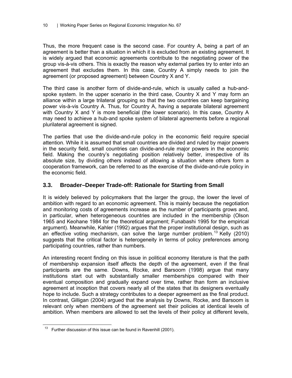Thus, the more frequent case is the second case. For country A, being a part of an agreement is better than a situation in which it is excluded from an existing agreement. It is widely argued that economic agreements contribute to the negotiating power of the group vis-à-vis others. This is exactly the reason why external parties try to enter into an agreement that excludes them. In this case, Country A simply needs to join the agreement (or proposed agreement) between Country X and Y.

The third case is another form of divide-and-rule, which is usually called a hub-andspoke system. In the upper scenario in the third case, Country X and Y may form an alliance within a large trilateral grouping so that the two countries can keep bargaining power vis-à-vis Country A. Thus, for Country A, having a separate bilateral agreement with Country X and Y is more beneficial (the lower scenario). In this case, Country A may need to achieve a hub-and spoke system of bilateral agreements before a regional plurilateral agreement is signed.

The parties that use the divide-and-rule policy in the economic field require special attention. While it is assumed that small countries are divided and ruled by major powers in the security field, small countries can divide-and-rule major powers in the economic field. Making the country's negotiating position relatively better, irrespective of its absolute size, by dividing others instead of allowing a situation where others form a cooperation framework, can be referred to as the exercise of the divide-and-rule policy in the economic field.

### **3.3. Broader–Deeper Trade-off: Rationale for Starting from Small**

It is widely believed by policymakers that the larger the group, the lower the level of ambition with regard to an economic agreement. This is mainly because the negotiation and monitoring costs of agreements increase as the number of participants grows and, in particular, when heterogeneous countries are included in the membership (Olson 1965 and Keohane 1984 for the theoretical argument; Funabashi 1995 for the empirical argument). Meanwhile, Kahler (1992) argues that the proper institutional design, such as an effective voting mechanism, can solve the large number problem.<sup>13</sup> Kelly (2010) suggests that the critical factor is heterogeneity in terms of policy preferences among participating countries, rather than numbers.

An interesting recent finding on this issue in political economy literature is that the path of membership expansion itself affects the depth of the agreement, even if the final participants are the same. Downs, Rocke, and Barsoom (1998) argue that many institutions start out with substantially smaller memberships compared with their eventual composition and gradually expand over time, rather than form an inclusive agreement at inception that covers nearly all of the states that its designers eventually hope to include. Such a strategy contributes to a deeper agreement as the final product. In contrast, Gilligan (2004) argued that the analysis by Downs, Rocke, and Barsoom is relevant only when members of the agreement set their policies at identical levels of ambition. When members are allowed to set the levels of their policy at different levels,

 $\overline{a}$  $13$  Further discussion of this issue can be found in Ravenhill (2001).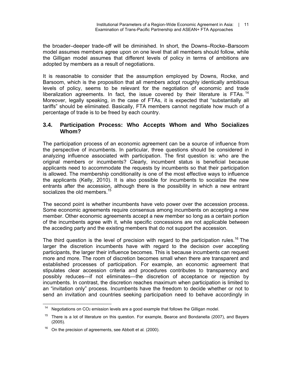the broader–deeper trade-off will be diminished. In short, the Downs–Rocke–Barsoom model assumes members agree upon on one level that all members should follow, while the Gilligan model assumes that different levels of policy in terms of ambitions are adopted by members as a result of negotiations.

It is reasonable to consider that the assumption employed by Downs, Rocke, and Barsoom, which is the proposition that all members adopt roughly identically ambitious levels of policy, seems to be relevant for the negotiation of economic and trade liberalization agreements. In fact, the issue covered by their literature is FTAs.<sup>14</sup> Moreover, legally speaking, in the case of FTAs, it is expected that "substantially all tariffs" should be eliminated. Basically, FTA members cannot negotiate how much of a percentage of trade is to be freed by each country.

## **3.4. Participation Process: Who Accepts Whom and Who Socializes Whom?**

The participation process of an economic agreement can be a source of influence from the perspective of incumbents. In particular, three questions should be considered in analyzing influence associated with participation. The first question is: who are the original members or incumbents? Clearly, incumbent status is beneficial because applicants need to accommodate the requests by incumbents so that their participation is allowed. The membership conditionality is one of the most effective ways to influence the applicants (Kelly, 2010). It is also possible for incumbents to socialize the new entrants after the accession, although there is the possibility in which a new entrant socializes the old members.<sup>15</sup>

The second point is whether incumbents have veto power over the accession process. Some economic agreements require consensus among incumbents on accepting a new member. Other economic agreements accept a new member so long as a certain portion of the incumbents agree with it, while specific concessions are not applicable between the acceding party and the existing members that do not support the accession.

The third question is the level of precision with regard to the participation rules.<sup>16</sup> The larger the discretion incumbents have with regard to the decision over accepting participants, the larger their influence becomes. This is because incumbents can request more and more. The room of discretion becomes small when there are transparent and established processes of participation. For example, an economic agreement that stipulates clear accession criteria and procedures contributes to transparency and possibly reduces—if not eliminates—the discretion of acceptance or rejection by incumbents. In contrast, the discretion reaches maximum when participation is limited to an "invitation only" process. Incumbents have the freedom to decide whether or not to send an invitation and countries seeking participation need to behave accordingly in

 $14\,$ Negotiations on CO<sub>2</sub> emission levels are a good example that follows the Gilligan model.

<sup>&</sup>lt;sup>15</sup> There is a lot of literature on this question. For example, Bearce and Bondanella (2007), and Bayers (2005).

<sup>16</sup> On the precision of agreements, see Abbott et al*.* (2000).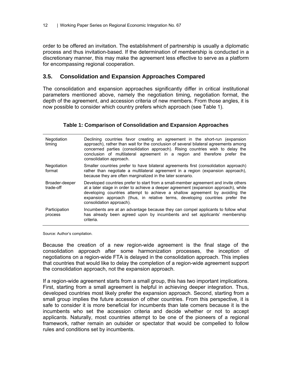order to be offered an invitation. The establishment of partnership is usually a diplomatic process and thus invitation-based. If the determination of membership is conducted in a discretionary manner, this may make the agreement less effective to serve as a platform for encompassing regional cooperation.

### **3.5. Consolidation and Expansion Approaches Compared**

The consolidation and expansion approaches significantly differ in critical institutional parameters mentioned above, namely the negotiation timing, negotiation format, the depth of the agreement, and accession criteria of new members. From those angles, it is now possible to consider which country prefers which approach (see Table 1).

#### **Table 1: Comparison of Consolidation and Expansion Approaches**

| Negotiation<br>timing       | Declining countries favor creating an agreement in the short-run (expansion<br>approach), rather than wait for the conclusion of several bilateral agreements among<br>concerned parties (consolidation approach). Rising countries wish to delay the<br>conclusion of multilateral agreement in a region and therefore prefer the<br>consolidation approach.         |
|-----------------------------|-----------------------------------------------------------------------------------------------------------------------------------------------------------------------------------------------------------------------------------------------------------------------------------------------------------------------------------------------------------------------|
| Negotiation<br>format       | Smaller countries prefer to have bilateral agreements first (consolidation approach)<br>rather than negotiate a multilateral agreement in a region (expansion approach),<br>because they are often marginalized in the later scenario.                                                                                                                                |
| Broader-deeper<br>trade-off | Developed countries prefer to start from a small-member agreement and invite others<br>at a later stage in order to achieve a deeper agreement (expansion approach), while<br>developing countries attempt to achieve a shallow agreement by avoiding the<br>expansion approach (thus, in relative terms, developing countries prefer the<br>consolidation approach). |
| Participation<br>process    | Incumbents are at an advantage because they can compel applicants to follow what<br>has already been agreed upon by incumbents and set applicants' membership<br>criteria.                                                                                                                                                                                            |

Source: Author's compilation.

Because the creation of a new region-wide agreement is the final stage of the consolidation approach after some harmonization processes, the inception of negotiations on a region-wide FTA is delayed in the consolidation approach. This implies that countries that would like to delay the completion of a region-wide agreement support the consolidation approach, not the expansion approach.

If a region-wide agreement starts from a small group, this has two important implications. First, starting from a small agreement is helpful in achieving deeper integration. Thus, developed countries most likely prefer the expansion approach. Second, starting from a small group implies the future accession of other countries. From this perspective, it is safe to consider it is more beneficial for incumbents than late comers because it is the incumbents who set the accession criteria and decide whether or not to accept applicants. Naturally, most countries attempt to be one of the pioneers of a regional framework, rather remain an outsider or spectator that would be compelled to follow rules and conditions set by incumbents.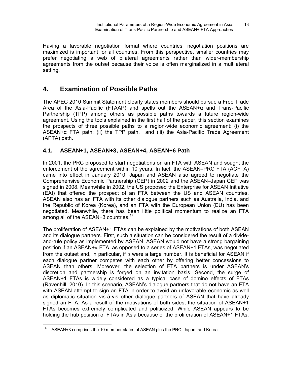Having a favorable negotiation format where countries' negotiation positions are maximized is important for all countries. From this perspective, smaller countries may prefer negotiating a web of bilateral agreements rather than wider-membership agreements from the outset because their voice is often marginalized in a multilateral setting.

# **4. Examination of Possible Paths**

The APEC 2010 Summit Statement clearly states members should pursue a Free Trade Area of the Asia-Pacific (FTAAP) and spells out the ASEAN+α and Trans-Pacific Partnership (TPP) among others as possible paths towards a future region-wide agreement. Using the tools explained in the first half of the paper, this section examines the prospects of three possible paths to a region-wide economic agreement: (i) the  $ASEAN+\alpha$  FTA path; (ii) the TPP path, and (iii) the Asia-Pacific Trade Agreement (APTA) path.

## **4.1. ASEAN+1, ASEAN+3, ASEAN+4, ASEAN+6 Path**

In 2001, the PRC proposed to start negotiations on an FTA with ASEAN and sought the enforcement of the agreement within 10 years. In fact, the ASEAN–PRC FTA (ACFTA) came into effect in January 2010. Japan and ASEAN also agreed to negotiate the Comprehensive Economic Partnership (CEP) in 2002 and the ASEAN–Japan CEP was signed in 2008. Meanwhile in 2002, the US proposed the Enterprise for ASEAN Initiative (EAI) that offered the prospect of an FTA between the US and ASEAN countries. ASEAN also has an FTA with its other dialogue partners such as Australia, India, and the Republic of Korea (Korea), and an FTA with the European Union (EU) has been negotiated. Meanwhile, there has been little political momentum to realize an FTA among all of the ASEAN+3 countries.<sup>17</sup>

The proliferation of ASEAN+1 FTAs can be explained by the motivations of both ASEAN and its dialogue partners. First, such a situation can be considered the result of a divideand-rule policy as implemented by ASEAN. ASEAN would not have a strong bargaining position if an ASEAN+ $\alpha$  FTA, as opposed to a series of ASEAN+1 FTAs, was negotiated from the outset and, in particular, if  $\alpha$  were a large number. It is beneficial for ASEAN if each dialogue partner competes with each other by offering better concessions to ASEAN than others. Moreover, the selection of FTA partners is under ASEAN's discretion and partnership is forged on an invitation basis. Second, the surge of ASEAN+1 FTAs is widely considered as a typical case of domino effects of FTAs (Ravenhill, 2010). In this scenario, ASEAN's dialogue partners that do not have an FTA with ASEAN attempt to sign an FTA in order to avoid an unfavorable economic as well as diplomatic situation vis-à-vis other dialogue partners of ASEAN that have already signed an FTA. As a result of the motivations of both sides, the situation of ASEAN+1 FTAs becomes extremely complicated and politicized. While ASEAN appears to be holding the hub position of FTAs in Asia because of the proliferation of ASEAN+1 FTAs,

 $\overline{a}$ ASEAN+3 comprises the 10 member states of ASEAN plus the PRC, Japan, and Korea.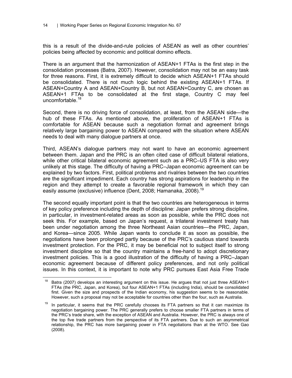this is a result of the divide-and-rule policies of ASEAN as well as other countries' policies being affected by economic and political domino effects.

There is an argument that the harmonization of ASEAN+1 FTAs is the first step in the consolidation processes (Batra, 2007). However, consolidation may not be an easy task for three reasons. First, it is extremely difficult to decide which ASEAN+1 FTAs should be consolidated. There is not much logic behind the existing ASEAN+1 FTAs. If ASEAN+Country A and ASEAN+Country B, but not ASEAN+Country C, are chosen as ASEAN+1 FTAs to be consolidated at the first stage, Country C may feel uncomfortable.<sup>18</sup>

Second, there is no driving force of consolidation, at least, from the ASEAN side—the hub of these FTAs. As mentioned above, the proliferation of ASEAN+1 FTAs is comfortable for ASEAN because such a negotiation format and agreement brings relatively large bargaining power to ASEAN compared with the situation where ASEAN needs to deal with many dialogue partners at once.

Third, ASEAN's dialogue partners may not want to have an economic agreement between them. Japan and the PRC is an often cited case of difficult bilateral relations, while other critical bilateral economic agreement such as a PRC–US FTA is also very unlikely at this stage. The difficulty of having a PRC–Japan economic agreement can be explained by two factors. First, political problems and rivalries between the two countries are the significant impediment. Each country has strong aspirations for leadership in the region and they attempt to create a favorable regional framework in which they can easily assume (exclusive) influence (Dent, 2008; Hamanaka, 2008).<sup>19</sup>

The second equally important point is that the two countries are heterogeneous in terms of key policy preference including the depth of discipline: Japan prefers strong discipline, in particular, in investment-related areas as soon as possible, while the PRC does not seek this. For example, based on Japan's request, a trilateral investment treaty has been under negotiation among the three Northeast Asian countries—the PRC, Japan, and Korea—since 2005. While Japan wants to conclude it as soon as possible, the negotiations have been prolonged partly because of the PRC's cautious stand towards investment protection. For the PRC, it may be beneficial not to subject itself to strong investment discipline so that the country maintains a free-hand to adopt discretionary investment policies. This is a good illustration of the difficulty of having a PRC–Japan economic agreement because of different policy preferences, and not only political issues. In this context, it is important to note why PRC pursues East Asia Free Trade

 $\overline{a}$ Batra (2007) develops an interesting argument on this issue. He argues that not just three ASEAN+1 FTAs (the PRC, Japan, and Korea), but four ASEAN+1 FTAs (including India), should be consolidated first. Given the size and prospects of the Indian economy, his suggestion seems to be reasonable. However, such a proposal may not be acceptable for countries other than the four, such as Australia.

 $19$  In particular, it seems that the PRC carefully chooses its FTA partners so that it can maximize its negotiation bargaining power. The PRC generally prefers to choose smaller FTA partners in terms of the PRC's trade share, with the exception of ASEAN and Australia. However, the PRC is always one of the top five trade partners from the perspective of its FTA partners. Due to such an asymmetrical relationship, the PRC has more bargaining power in FTA negotiations than at the WTO. See Gao (2008).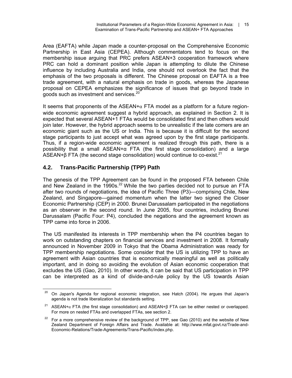Area (EAFTA) while Japan made a counter-proposal on the Comprehensive Economic Partnership in East Asia (CEPEA). Although commentators tend to focus on the membership issue arguing that PRC prefers ASEAN+3 cooperation framework where PRC can hold a dominant position while Japan is attempting to dilute the Chinese influence by including Australia and India, one should not overlook the fact that the emphasis of the two proposals is different. The Chinese proposal on EAFTA is a free trade agreement, with a natural emphasis on trade in goods, whereas the Japanese proposal on CEPEA emphasizes the significance of issues that go beyond trade in goods such as investment and services. $^{20}$ 

It seems that proponents of the ASEAN+ $\alpha$  FTA model as a platform for a future regionwide economic agreement suggest a hybrid approach, as explained in Section 2. It is expected that several ASEAN+1 FTAs would be consolidated first and then others would join later. However, the hybrid approach seems to be unrealistic if the late comers are an economic giant such as the US or India. This is because it is difficult for the second stage participants to just accept what was agreed upon by the first stage participants. Thus, if a region-wide economic agreement is realized through this path, there is a possibility that a small ASEAN+α FTA (the first stage consolidation) and a large ASEAN+β FTA (the second stage consolidation) would continue to co-exist.<sup>21</sup>

## **4.2. Trans-Pacific Partnership (TPP) Path**

The genesis of the TPP Agreement can be found in the proposed FTA between Chile and New Zealand in the 1990s.<sup>22</sup> While the two parties decided not to pursue an FTA after two rounds of negotiations, the idea of Pacific Three (P3)—comprising Chile, New Zealand, and Singapore—gained momentum when the latter two signed the Closer Economic Partnership (CEP) in 2000. Brunei Darussalam participated in the negotiations as an observer in the second round. In June 2005, four countries, including Brunei Darussalam (Pacific Four: P4), concluded the negations and the agreement known as TPP came into force in 2006.

The US manifested its interests in TPP membership when the P4 countries began to work on outstanding chapters on financial services and investment in 2008. It formally announced in November 2009 in Tokyo that the Obama Administration was ready for TPP membership negotiations. Some consider that the US is utilizing TPP to have an agreement with Asian countries that is economically meaningful as well as politically important, and in doing so avoiding the evolution of Asian economic cooperation that excludes the US (Gao, 2010). In other words, it can be said that US participation in TPP can be interpreted as a kind of divide-and-rule policy by the US towards Asian

 $\overline{a}$ 20 On Japan's Agenda for regional economic integration, see Hatch (2004). He argues that Japan's agenda is not trade liberalization but standards setting.

<sup>&</sup>lt;sup>21</sup> ASEAN+ $\alpha$  FTA (the first stage consolidation) and ASEAN+β FTA can be either nested or overlapped. For more on nested FTAs and overlapped FTAs, see section 2.

 $22$  For a more comprehensive review of the background of TPP, see Gao (2010) and the website of New Zealand Department of Foreign Affairs and Trade. Available at: http://www.mfat.govt.nz/Trade-and-Economic-Relations/Trade-Agreements/Trans-Pacific/index.php.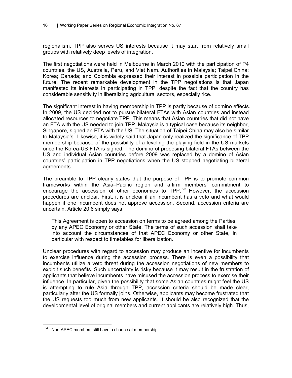regionalism. TPP also serves US interests because it may start from relatively small groups with relatively deep levels of integration.

The first negotiations were held in Melbourne in March 2010 with the participation of P4 countries, the US, Australia, Peru, and Viet Nam. Authorities in Malaysia; Taipei,China; Korea; Canada; and Colombia expressed their interest in possible participation in the future. The recent remarkable development in the TPP negotiations is that Japan manifested its interests in participating in TPP, despite the fact that the country has considerable sensitivity in liberalizing agricultural sectors, especially rice.

The significant interest in having membership in TPP is partly because of domino effects. In 2009, the US decided not to pursue bilateral FTAs with Asian countries and instead allocated resources to negotiate TPP. This means that Asian countries that did not have an FTA with the US needed to join TPP. Malaysia is a typical case because its neighbor, Singapore, signed an FTA with the US. The situation of Taipei,China may also be similar to Malaysia's. Likewise, it is widely said that Japan only realized the significance of TPP membership because of the possibility of a leveling the playing field in the US markets once the Korea-US FTA is signed. The domino of proposing bilateral FTAs between the US and individual Asian countries before 2009 was replaced by a domino of Asian countries' participation in TPP negotiations when the US stopped negotiating bilateral agreements.

The preamble to TPP clearly states that the purpose of TPP is to promote common frameworks within the Asia–Pacific region and affirm members' commitment to encourage the accession of other economies to TPP.  $23$  However, the accession procedures are unclear. First, it is unclear if an incumbent has a veto and what would happen if one incumbent does not approve accession. Second, accession criteria are uncertain. Article 20.6 simply says

This Agreement is open to accession on terms to be agreed among the Parties, by any APEC Economy or other State. The terms of such accession shall take into account the circumstances of that APEC Economy or other State, in particular with respect to timetables for liberalization.

Unclear procedures with regard to accession may produce an incentive for incumbents to exercise influence during the accession process. There is even a possibility that incumbents utilize a veto threat during the accession negotiations of new members to exploit such benefits. Such uncertainty is risky because it may result in the frustration of applicants that believe incumbents have misused the accession process to exercise their influence. In particular, given the possibility that some Asian countries might feel the US is attempting to rule Asia through TPP, accession criteria should be made clear, particularly after the US formally joins. Otherwise, applicants may become frustrated that the US requests too much from new applicants. It should be also recognized that the developmental level of original members and current applicants are relatively high. Thus,

 $\overline{a}$ Non-APEC members still have a chance at membership.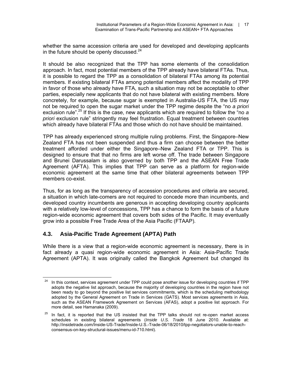whether the same accession criteria are used for developed and developing applicants in the future should be openly discussed. $24$ 

It should be also recognized that the TPP has some elements of the consolidation approach. In fact, most potential members of the TPP already have bilateral FTAs. Thus, it is possible to regard the TPP as a consolidation of bilateral FTAs among its potential members. If existing bilateral FTAs among potential members affect the modality of TPP in favor of those who already have FTA, such a situation may not be acceptable to other parties, especially new applicants that do not have bilateral with existing members. More concretely, for example, because sugar is exempted in Australia-US FTA, the US may not be required to open the sugar market under the TPP regime despite the "no *a priori* exclusion rule".25 If this is the case, new applicants which are required to follow the "no *a priori* exclusion rule" stringently may feel frustration. Equal treatment between countries which already have bilateral FTAs and those which do not have should be maintained.

TPP has already experienced strong multiple ruling problems. First, the Singapore–New Zealand FTA has not been suspended and thus a firm can choose between the better treatment afforded under either the Singapore–New Zealand FTA or TPP. This is designed to ensure that that no firms are left worse off. The trade between Singapore and Brunei Darussalam is also governed by both TPP and the ASEAN Free Trade Agreement (AFTA). This implies that TPP can serve as a platform for region-wide economic agreement at the same time that other bilateral agreements between TPP members co-exist.

Thus, for as long as the transparency of accession procedures and criteria are secured, a situation in which late-comers are not required to concede more than incumbents, and developed country incumbents are generous in accepting developing country applicants with a relatively low-level of concessions, TPP has a chance to form the basis of a future region-wide economic agreement that covers both sides of the Pacific. It may eventually grow into a possible Free Trade Area of the Asia Pacific (FTAAP).

## **4.3. Asia-Pacific Trade Agreement (APTA) Path**

While there is a view that a region-wide economic agreement is necessary, there is in fact already a quasi region-wide economic agreement in Asia: Asia-Pacific Trade Agreement (APTA). It was originally called the Bangkok Agreement but changed its

 $\overline{a}$ <sup>24</sup> In this context, services agreement under TPP could pose another issue for developing countries if TPP adopts the negative list approach, because the majority of developing countries in the region have not been ready to go beyond the positive list services commitments, which is the scheduling methodology adopted by the General Agreement on Trade in Services (GATS). Most services agreements in Asia, such as the ASEAN Framework Agreement on Services (AFAS), adopt a positive list approach. For more detail, see Hamanaka (2009).

 $25$  In fact, it is reported that the US insisted that the TPP talks should not re-open market access schedules in existing bilateral agreements (*Inside U.S. Trade* 18 June 2010. Available at: http://insidetrade.com/Inside-US-Trade/Inside-U.S.-Trade-06/18/2010/tpp-negotiators-unable-to-reachconsensus-on-key-structural-issues/menu-id-710.html).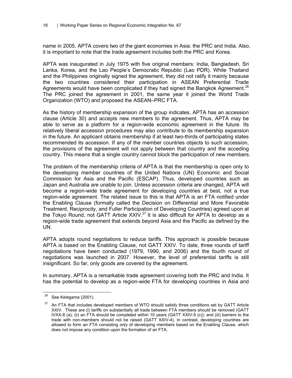name in 2005. APTA covers two of the giant economies in Asia: the PRC and India. Also, it is important to note that the trade agreement includes both the PRC and Korea.

APTA was inaugurated in July 1975 with five original members: India, Bangladesh, Sri Lanka, Korea, and the Lao People's Democratic Republic (Lao PDR). While Thailand and the Philippines originally signed the agreement, they did not ratify it mainly because the two countries considered their participation in ASEAN Preferential Trade Agreements would have been complicated if they had signed the Bangkok Agreement.<sup>26</sup> The PRC joined the agreement in 2001, the same year it joined the World Trade Organization (WTO) and proposed the ASEAN–PRC FTA.

As the history of membership expansion of the group indicates, APTA has an accession clause (Article 30) and accepts new members to the agreement. Thus, APTA may be able to serve as a platform for a region-wide economic agreement in the future. Its relatively liberal accession procedures may also contribute to its membership expansion in the future. An applicant obtains membership if at least two-thirds of participating states recommended its accession. If any of the member countries objects to such accession, the provisions of the agreement will not apply between that country and the acceding country. This means that a single country cannot block the participation of new members.

The problem of the membership criteria of APTA is that the membership is open only to the developing member countries of the United Nations (UN) Economic and Social Commission for Asia and the Pacific (ESCAP). Thus, developed countries such as Japan and Australia are unable to join. Unless accession criteria are changed, APTA will become a region-wide trade agreement for developing countries at best, not a true region-wide agreement. The related issue to this is that APTA is an FTA notified under the Enabling Clause (formally called the Decision on Differential and More Favorable Treatment, Reciprocity, and Fuller Participation of Developing Countries) agreed upon at the Tokyo Round, not GATT Article XXIV.<sup>27</sup> It is also difficult for APTA to develop as a region-wide trade agreement that extends beyond Asia and the Pacific as defined by the UN.

APTA adopts round negotiations to reduce tariffs. This approach is possible because APTA is based on the Enabling Clause, not GATT XXIV. To date, three rounds of tariff negotiations have been conducted (1979, 1990, and 2006) and the fourth round of negotiations was launched in 2007. However, the level of preferential tariffs is still insignificant. So far, only goods are covered by the agreement.

In summary, APTA is a remarkable trade agreement covering both the PRC and India. It has the potential to develop as a region-wide FTA for developing countries in Asia and

 $\overline{a}$ 

 $26$  See Kelegama (2001).

<sup>27</sup> An FTA that includes developed members of WTO should satisfy three conditions set by GATT Article XXIV. These are (i) tariffs on substantially all trade between FTA members should be removed (GATT IVXX-8 (a); (ii) an FTA should be completed within 10 years (GATT XXIV-5 (c)); and (iii) barriers to the trade with non-members should not be raised (GATT XXIV-4). In contrast, developing countries are allowed to form an FTA consisting only of developing members based on the Enabling Clause, which does not impose any condition upon the formation of an FTA.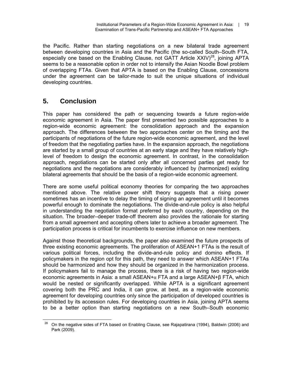the Pacific. Rather than starting negotiations on a new bilateral trade agreement between developing countries in Asia and the Pacific (the so-called South–South FTA, especially one based on the Enabling Clause, not GATT Article  $XXIV)^{28}$ , joining APTA seems to be a reasonable option in order not to intensify the Asian Noodle Bowl problem of overlapping FTAs. Given that APTA is based on the Enabling Clause, concessions under the agreement can be tailor-made to suit the unique situations of individual developing countries.

# **5. Conclusion**

This paper has considered the path or sequencing towards a future region-wide economic agreement in Asia. The paper first presented two possible approaches to a region-wide economic agreement: the consolidation approach and the expansion approach. The differences between the two approaches center on the timing and the participants of negotiations of the future region-wide economic agreement, and the level of freedom that the negotiating parties have. In the expansion approach, the negotiations are started by a small group of countries at an early stage and they have relatively highlevel of freedom to design the economic agreement. In contrast, in the consolidation approach, negotiations can be started only after all concerned parties get ready for negotiations and the negotiations are considerably influenced by (harmonized) existing bilateral agreements that should be the basis of a region-wide economic agreement.

There are some useful political economy theories for comparing the two approaches mentioned above. The relative power shift theory suggests that a rising power sometimes has an incentive to delay the timing of signing an agreement until it becomes powerful enough to dominate the negotiations. The divide-and-rule policy is also helpful in understanding the negotiation format preferred by each country, depending on the situation. The broader–deeper trade-off theorem also provides the rationale for starting from a small agreement and accepting others later to achieve a broader agreement. The participation process is critical for incumbents to exercise influence on new members.

Against those theoretical backgrounds, the paper also examined the future prospects of three existing economic agreements. The proliferation of ASEAN+1 FTAs is the result of various political forces, including the divide-and-rule policy and domino effects. If policymakers in the region opt for this path, they need to answer which ASEAN+1 FTAs should be harmonized and how they should be organized in the harmonization process. If policymakers fail to manage the process, there is a risk of having two region-wide economic agreements in Asia: a small ASEAN+ $\alpha$  FTA and a large ASEAN+β FTA, which would be nested or significantly overlapped. While APTA is a significant agreement covering both the PRC and India, it can grow, at best, as a region-wide economic agreement for developing countries only since the participation of developed countries is prohibited by its accession rules. For developing countries in Asia, joining APTA seems to be a better option than starting negotiations on a new South–South economic

 $\overline{a}$  $28$  On the negative sides of FTA based on Enabling Clause, see Rajapatirana (1994), Baldwin (2006) and Park (2009).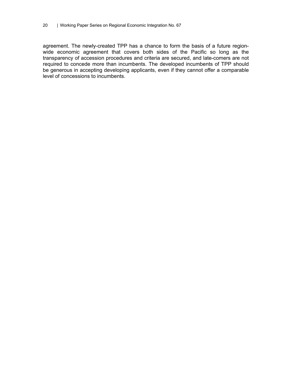agreement. The newly-created TPP has a chance to form the basis of a future regionwide economic agreement that covers both sides of the Pacific so long as the transparency of accession procedures and criteria are secured, and late-comers are not required to concede more than incumbents. The developed incumbents of TPP should be generous in accepting developing applicants, even if they cannot offer a comparable level of concessions to incumbents.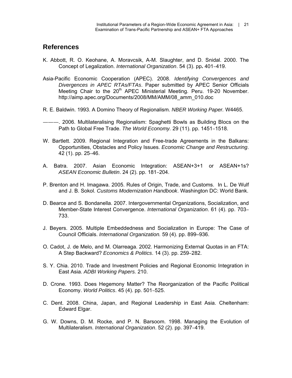## **References**

- K. Abbott, R. O. Keohane, A. Moravcsik, A-M. Slaughter, and D. Snidal. 2000. The Concept of Legalization. *International Organization*. 54 (3). pp**.** 401–419.
- Asia-Pacific Economic Cooperation (APEC). 2008. *Identifying Convergences and Divergences in APEC RTAs/FTAs*. Paper submitted by APEC Senior Officials Meeting Chair to the 20<sup>th</sup> APEC Ministerial Meeting. Peru. 19-20 November. http://aimp.apec.org/Documents/2008/MM/AMM/08\_amm\_010.doc
- R. E. Baldwin. 1993. A Domino Theory of Regionalism. *NBER Working Paper.* W4465.
- ———. 2006. Multilateralising Regionalism: Spaghetti Bowls as Building Blocs on the Path to Global Free Trade. *The World Economy.* 29 (11). pp. 1451–1518.
- W. Bartlett. 2009. Regional Integration and Free-trade Agreements in the Balkans: Opportunities, Obstacles and Policy Issues. *Economic Change and Restructuring*. 42 (1). pp. 25–46.
- A. Batra. 2007. Asian Economic Integration: ASEAN+3+1 or ASEAN+1s? *ASEAN Economic Bulletin*. 24 (2). pp. 181–204.
- P. Brenton and H. Imagawa. 2005. Rules of Origin, Trade, and Customs. In L. De Wulf and J. B. Sokol. *Customs Modernization Handbook*. Washington DC: World Bank.
- D. Bearce and S. Bondanella. 2007. Intergovernmental Organizations, Socialization, and Member-State Interest Convergence. *International Organization*. 61 (4). pp. 703– 733.
- J. Beyers. 2005. Multiple Embeddedness and Socialization in Europe: The Case of Council Officials. *International Organization.* 59 (4). pp. 899–936.
- O. Cadot, J. de Melo, and M. Olarreaga. 2002. Harmonizing External Quotas in an FTA: A Step Backward? *Economics & Politics*. 14 (3). pp. 259–282.
- S. Y. Chia. 2010. Trade and Investment Policies and Regional Economic Integration in East Asia. *ADBI Working Papers.* 210.
- D. Crone. 1993. Does Hegemony Matter? The Reorganization of the Pacific Political Economy. *World Politics*. 45 (4). pp. 501–525.
- C. Dent. 2008. China, Japan, and Regional Leadership in East Asia. Cheltenham: Edward Elgar.
- G. W. Downs, D. M. Rocke, and P. N. Barsoom. 1998. Managing the Evolution of Multilateralism. *International Organization*. 52 (2). pp. 397–419.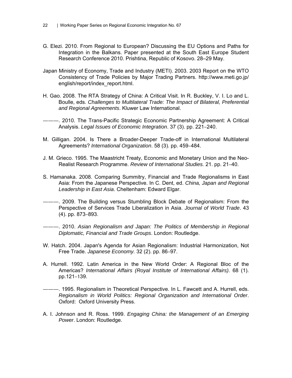- G. Elezi. 2010. From Regional to European? Discussing the EU Options and Paths for Integration in the Balkans. Paper presented at the South East Europe Student Research Conference 2010. Prishtina, Republic of Kosovo. 28–29 May.
- Japan Ministry of Economy, Trade and Industry (METI). 2003. 2003 Report on the WTO Consistency of Trade Policies by Major Trading Partners. http://www.meti.go.jp/ english/report/index\_report.html.
- H. Gao. 2008. The RTA Strategy of China: A Critical Visit. In R. Buckley, V. I. Lo and L. Boulle, eds. *Challenges to Multilateral Trade: The Impact of Bilateral, Preferential and Regional Agreements*. Kluwer Law International.
- -. 2010. The Trans-Pacific Strategic Economic Partnership Agreement: A Critical Analysis. *Legal Issues of Economic Integration*. 37 (3). pp. 221–240.
- M. Gilligan. 2004. Is There a Broader-Deeper Trade-off in International Multilateral Agreements? *International Organization*. 58 (3). pp. 459–484.
- J. M. Grieco. 1995. The Maastricht Treaty, Economic and Monetary Union and the Neo-Realist Research Programme. *Review of International Studies.* 21. pp. 21–40.
- S. Hamanaka. 2008. Comparing Summitry, Financial and Trade Regionalisms in East Asia: From the Japanese Perspective. In C. Dent, ed. *China, Japan and Regional Leadership in East Asia*. Cheltenham: Edward Elgar.
- ———. 2009. The Building versus Stumbling Block Debate of Regionalism: From the Perspective of Services Trade Liberalization in Asia. *Journal of World Trade*. 43 (4). pp. 873–893.
- ———. 2010. *Asian Regionalism and Japan: The Politics of Membership in Regional Diplomatic, Financial and Trade Groups*. London: Routledge.
- W. Hatch. 2004. Japan's Agenda for Asian Regionalism: Industrial Harmonization, Not Free Trade. *Japanese Economy.* 32 (2). pp. 86–97.
- A. Hurrell. 1992. Latin America in the New World Order: A Regional Bloc of the Americas? *International Affairs (Royal Institute of International Affairs)*. 68 (1). pp.121–139.
- ———. 1995. Regionalism in Theoretical Perspective. In L. Fawcett and A. Hurrell, eds. *Regionalism in World Politics: Regional Organization and International Order*. Oxford: Oxford University Press.
- A. I. Johnson and R. Ross. 1999. *Engaging China: the Management of an Emerging Power*. London: Routledge.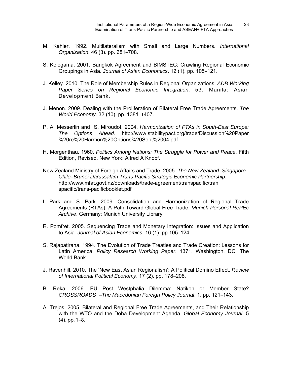- M. Kahler. 1992. Multilateralism with Small and Large Numbers. *International Organization.* 46 (3). pp. 681–708.
- S. Kelegama. 2001. Bangkok Agreement and BIMSTEC: Crawling Regional Economic Groupings in Asia. *Journal of Asian Economics*. 12 (1). pp. 105–121.
- J. Kelley. 2010. The Role of Membership Rules in Regional Organizations. *ADB Working Paper Series on Regional Economic Integration*. 53. Manila: Asian Development Bank.
- J. Menon. 2009. Dealing with the Proliferation of Bilateral Free Trade Agreements. *The World Economy*. 32 (10). pp. 1381–1407.
- P. A. Messerlin and S. Miroudot. 2004. *Harmonization of FTAs in South-East Europe: The Options Ahead*. http://www.stabilitypact.org/trade/Discussion%20Paper %20re%20Harmon%20Options%20Sept%2004.pdf
- H. Morgenthau. 1960. *Politics Among Nations: The Struggle for Power and Peace*. Fifth Edition, Revised. New York: Alfred A Knopf.
- New Zealand Ministry of Foreign Affairs and Trade. 2005. *The New Zealand–Singapore– Chile–Brunei Darussalam Trans-Pacific Strategic Economic Partnership*. http://www.mfat.govt.nz/downloads/trade-agreement/transpacific/tran spacific/trans-pacificbooklet.pdf
- I. Park and S. Park. 2009. Consolidation and Harmonization of Regional Trade Agreements (RTAs): A Path Toward Global Free Trade. *Munich Personal RePEc Archive*. Germany: Munich University Library.
- R. Pomfret. 2005. Sequencing Trade and Monetary Integration: Issues and Application to Asia. *Journal of Asian Economics*. 16 (1). pp.105–124.
- S. Rajapatirana. 1994. The Evolution of Trade Treaties and Trade Creation: Lessons for Latin America. *Policy Research Working Paper*. 1371. Washington, DC: The World Bank.
- J. Ravenhill. 2010. The 'New East Asian Regionalism': A Political Domino Effect. *Review of International Political Economy*. 17 (2). pp. 178–208.
- B. Reka. 2006. EU Post Westphalia Dilemma: Natikon or Member State? *CROSSROADS –The Macedonian Foreign Policy Journal*. 1. pp. 121–143.
- A. Trejos. 2005. Bilateral and Regional Free Trade Agreements, and Their Relationship with the WTO and the Doha Development Agenda. *Global Economy Journal*. 5 (4). pp. 1–8.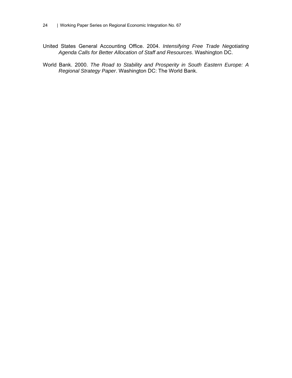- United States General Accounting Office. 2004. *Intensifying Free Trade Negotiating Agenda Calls for Better Allocation of Staff and Resources*. Washington DC.
- World Bank. 2000. *The Road to Stability and Prosperity in South Eastern Europe: A Regional Strategy Paper*. Washington DC: The World Bank.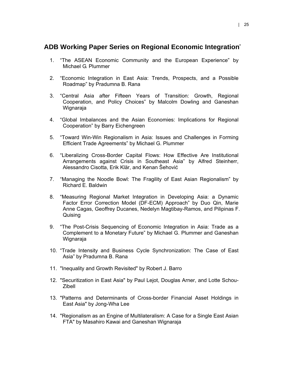## **ADB Working Paper Series on Regional Economic Integration\***

- 1. "The ASEAN Economic Community and the European Experience" by Michael G. Plummer
- 2. "Economic Integration in East Asia: Trends, Prospects, and a Possible Roadmap" by Pradumna B. Rana
- 3. "Central Asia after Fifteen Years of Transition: Growth, Regional Cooperation, and Policy Choices" by Malcolm Dowling and Ganeshan Wignaraja
- 4. "Global Imbalances and the Asian Economies: Implications for Regional Cooperation" by Barry Eichengreen
- 5. "Toward Win-Win Regionalism in Asia: Issues and Challenges in Forming Efficient Trade Agreements" by Michael G. Plummer
- 6. "Liberalizing Cross-Border Capital Flows: How Effective Are Institutional Arrangements against Crisis in Southeast Asia" by Alfred Steinherr, Alessandro Cisotta, Erik Klär, and Kenan Šehović
- 7. "Managing the Noodle Bowl: The Fragility of East Asian Regionalism" by Richard E. Baldwin
- 8. "Measuring Regional Market Integration in Developing Asia: a Dynamic Factor Error Correction Model (DF-ECM) Approach" by Duo Qin, Marie Anne Cagas, Geoffrey Ducanes, Nedelyn Magtibay-Ramos, and Pilipinas F. Quising
- 9. "The Post-Crisis Sequencing of Economic Integration in Asia: Trade as a Complement to a Monetary Future" by Michael G. Plummer and Ganeshan Wignaraja
- 10. "Trade Intensity and Business Cycle Synchronization: The Case of East Asia" by Pradumna B. Rana
- 11. "Inequality and Growth Revisited" by Robert J. Barro
- 12. "Securitization in East Asia" by Paul Lejot, Douglas Arner, and Lotte Schou-Zibell
- 13. "Patterns and Determinants of Cross-border Financial Asset Holdings in East Asia" by Jong-Wha Lee
- 14. "Regionalism as an Engine of Multilateralism: A Case for a Single East Asian FTA" by Masahiro Kawai and Ganeshan Wignaraja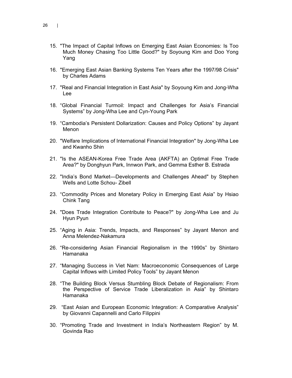- 15. "The Impact of Capital Inflows on Emerging East Asian Economies: Is Too Much Money Chasing Too Little Good?" by Soyoung Kim and Doo Yong Yang
- 16. "Emerging East Asian Banking Systems Ten Years after the 1997/98 Crisis" by Charles Adams
- 17. "Real and Financial Integration in East Asia" by Soyoung Kim and Jong-Wha Lee
- 18. "Global Financial Turmoil: Impact and Challenges for Asia's Financial Systems" by Jong-Wha Lee and Cyn-Young Park
- 19. "Cambodia's Persistent Dollarization: Causes and Policy Options" by Jayant Menon
- 20. "Welfare Implications of International Financial Integration" by Jong-Wha Lee and Kwanho Shin
- 21. "Is the ASEAN-Korea Free Trade Area (AKFTA) an Optimal Free Trade Area?" by Donghyun Park, Innwon Park, and Gemma Esther B. Estrada
- 22. "India's Bond Market—Developments and Challenges Ahead" by Stephen Wells and Lotte Schou- Zibell
- 23. "Commodity Prices and Monetary Policy in Emerging East Asia" by Hsiao Chink Tang
- 24. "Does Trade Integration Contribute to Peace?" by Jong-Wha Lee and Ju Hyun Pyun
- 25. "Aging in Asia: Trends, Impacts, and Responses" by Jayant Menon and Anna Melendez-Nakamura
- 26. "Re-considering Asian Financial Regionalism in the 1990s" by Shintaro Hamanaka
- 27. "Managing Success in Viet Nam: Macroeconomic Consequences of Large Capital Inflows with Limited Policy Tools" by Jayant Menon
- 28. "The Building Block Versus Stumbling Block Debate of Regionalism: From the Perspective of Service Trade Liberalization in Asia" by Shintaro Hamanaka
- 29. "East Asian and European Economic Integration: A Comparative Analysis" by Giovanni Capannelli and Carlo Filippini
- 30. "Promoting Trade and Investment in India's Northeastern Region" by M. Govinda Rao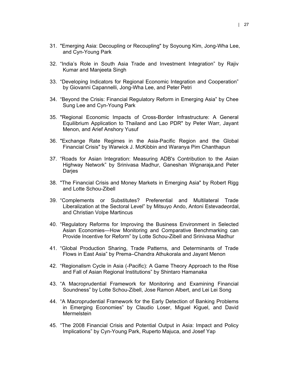- 31. "Emerging Asia: Decoupling or Recoupling" by Soyoung Kim, Jong-Wha Lee, and Cyn-Young Park
- 32. "India's Role in South Asia Trade and Investment Integration" by Rajiv Kumar and Manjeeta Singh
- 33. "Developing Indicators for Regional Economic Integration and Cooperation" by Giovanni Capannelli, Jong-Wha Lee, and Peter Petri
- 34. "Beyond the Crisis: Financial Regulatory Reform in Emerging Asia" by Chee Sung Lee and Cyn-Young Park
- 35. "Regional Economic Impacts of Cross-Border Infrastructure: A General Equilibrium Application to Thailand and Lao PDR" by Peter Warr, Jayant Menon, and Arief Anshory Yusuf
- 36. "Exchange Rate Regimes in the Asia-Pacific Region and the Global Financial Crisis" by Warwick J. McKibbin and Waranya Pim Chanthapun
- 37. "Roads for Asian Integration: Measuring ADB's Contribution to the Asian Highway Network" by Srinivasa Madhur, Ganeshan Wignaraja,and Peter Darjes
- 38. "The Financial Crisis and Money Markets in Emerging Asia" by Robert Rigg and Lotte Schou-Zibell
- 39. "Complements or Substitutes? Preferential and Multilateral Trade Liberalization at the Sectoral Level" by Mitsuyo Ando, Antoni Estevadeordal, and Christian Volpe Martincus
- 40. "Regulatory Reforms for Improving the Business Environment in Selected Asian Economies—How Monitoring and Comparative Benchmarking can Provide Incentive for Reform" by Lotte Schou-Zibell and Srinivasa Madhur
- 41. "Global Production Sharing, Trade Patterns, and Determinants of Trade Flows in East Asia" by Prema–Chandra Athukorala and Jayant Menon
- 42. "Regionalism Cycle in Asia (-Pacific): A Game Theory Approach to the Rise and Fall of Asian Regional Institutions" by Shintaro Hamanaka
- 43. "A Macroprudential Framework for Monitoring and Examining Financial Soundness" by Lotte Schou-Zibell, Jose Ramon Albert, and Lei Lei Song
- 44. "A Macroprudential Framework for the Early Detection of Banking Problems in Emerging Economies" by Claudio Loser, Miguel Kiguel, and David **Mermelstein**
- 45. "The 2008 Financial Crisis and Potential Output in Asia: Impact and Policy Implications" by Cyn-Young Park, Ruperto Majuca, and Josef Yap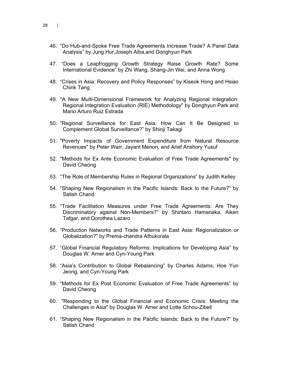- 46. "Do Hub-and-Spoke Free Trade Agreements Increase Trade? A Panel Data Analysis" by Jung Hur,Joseph Alba,and Donghyun Park
- 47. "Does a Leapfrogging Growth Strategy Raise Growth Rate? Some International Evidence" by Zhi Wang, Shang-Jin Wei, and Anna Wong
- 48. "Crises in Asia: Recovery and Policy Responses" by Kiseok Hong and Hsiao Chink Tang
- 49. "A New Multi-Dimensional Framework for Analyzing Regional Integration: Regional Integration Evaluation (RIE) Methodology" by Donghyun Park and Mario Arturo Ruiz Estrada
- 50. "Regional Surveillance for East Asia: How Can It Be Designed to Complement Global Surveillance?" by Shinji Takagi
- 51. "Poverty Impacts of Government Expenditure from Natural Resource Revenues" by Peter Warr, Jayant Menon, and Arief Anshory Yusuf
- 52. "Methods for Ex Ante Economic Evaluation of Free Trade Agreements" by David Cheong
- 53. "The Role of Membership Rules in Regional Organizations" by Judith Kelley
- 54. "Shaping New Regionalism in the Pacific Islands: Back to the Future?" by Satish Chand
- 55. "Trade Facilitation Measures under Free Trade Agreements: Are They Discriminatory against Non-Members?" by Shintaro Hamanaka, Aiken Tafgar, and Dorothea Lazaro
- 56. "Production Networks and Trade Patterns in East Asia: Regionalization or Globalization?" by Prema-chandra Athukorala
- 57. "Global Financial Regulatory Reforms: Implications for Developing Asia" by Douglas W. Arner and Cyn-Young Park
- 58. "Asia's Contribution to Global Rebalancing" by Charles Adams, Hoe Yun Jeong, and Cyn-Young Park
- 59. "Methods for Ex Post Economic Evaluation of Free Trade Agreements" by David Cheong
- 60. "Responding to the Global Financial and Economic Crisis: Meeting the Challenges in Asia" by Douglas W. Arner and Lotte Schou-Zibell
- 61. "Shaping New Regionalism in the Pacific Islands: Back to the Future?" by Satish Chand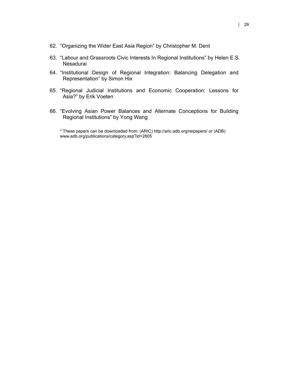- 62. "Organizing the Wider East Asia Region" by Christopher M. Dent
- 63. "Labour and Grassroots Civic Interests In Regional Institutions" by Helen E.S. Nesadurai
- 64. "Institutional Design of Regional Integration: Balancing Delegation and Representation" by Simon Hix
- 65. "Regional Judicial Institutions and Economic Cooperation: Lessons for Asia?" by Erik Voeten
- 66. "Evolving Asian Power Balances and Alternate Conceptions for Building Regional Institutions" by Yong Wang

\* These papers can be downloaded from: (ARIC) http://aric.adb.org/reipapers/ or (ADB) www.adb.org/publications/category.asp?id=2805